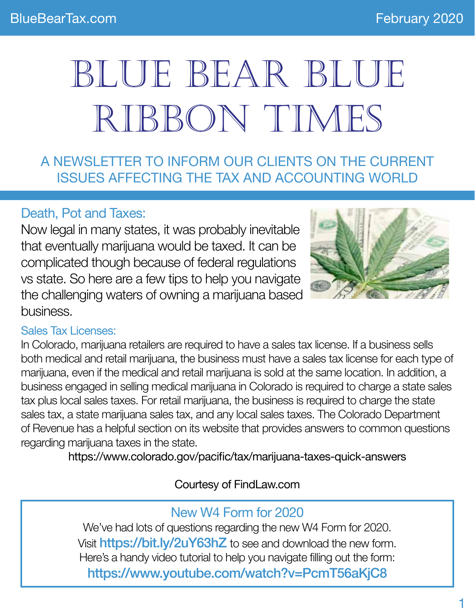# BLUE BEAR BLUE RIBBON TIMES

A NEWSLETTER TO INFORM OUR CLIENTS ON THE CURRENT ISSUES AFFECTING THE TAX AND ACCOUNTING WORLD

# Death, Pot and Taxes:

Now legal in many states, it was probably inevitable that eventually marijuana would be taxed. It can be complicated though because of federal regulations vs state. So here are a few tips to help you navigate the challenging waters of owning a marijuana based business.



### Sales Tax Licenses:

In Colorado, marijuana retailers are required to have a sales tax license. If a business sells both medical and retail marijuana, the business must have a sales tax license for each type of marijuana, even if the medical and retail marijuana is sold at the same location. In addition, a business engaged in selling medical marijuana in Colorado is required to charge a state sales tax plus local sales taxes. For retail marijuana, the business is required to charge the state sales tax, a state marijuana sales tax, and any local sales taxes. The Colorado Department of Revenue has a helpful section on its website that provides answers to common questions regarding marijuana taxes in the state.

https://www.colorado.gov/pacific/tax/marijuana-taxes-quick-answers

Courtesy of FindLaw.com

# New W4 Form for 2020

We've had lots of questions regarding the new W4 Form for 2020. Visit https://bit.ly/2uY63hZ to see and download the new form. Here's a handy video tutorial to help you navigate filling out the form: https://www.youtube.com/watch?v=PcmT56aKjC8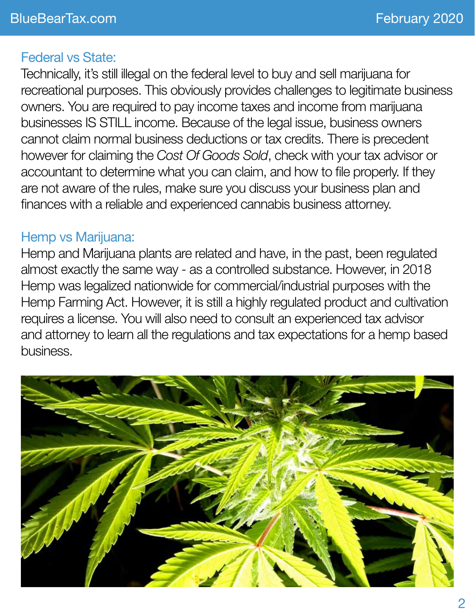# Federal vs State:

Technically, it's still illegal on the federal level to buy and sell marijuana for recreational purposes. This obviously provides challenges to legitimate business owners. You are required to pay income taxes and income from marijuana businesses IS STILL income. Because of the legal issue, business owners cannot claim normal business deductions or tax credits. There is precedent however for claiming the *Cost Of Goods Sold*, check with your tax advisor or accountant to determine what you can claim, and how to file properly. If they are not aware of the rules, make sure you discuss your business plan and finances with a reliable and experienced cannabis business attorney.

# Hemp vs Marijuana:

Hemp and Marijuana plants are related and have, in the past, been regulated almost exactly the same way - as a controlled substance. However, in 2018 Hemp was legalized nationwide for commercial/industrial purposes with the Hemp Farming Act. However, it is still a highly regulated product and cultivation requires a license. You will also need to consult an experienced tax advisor and attorney to learn all the regulations and tax expectations for a hemp based business.

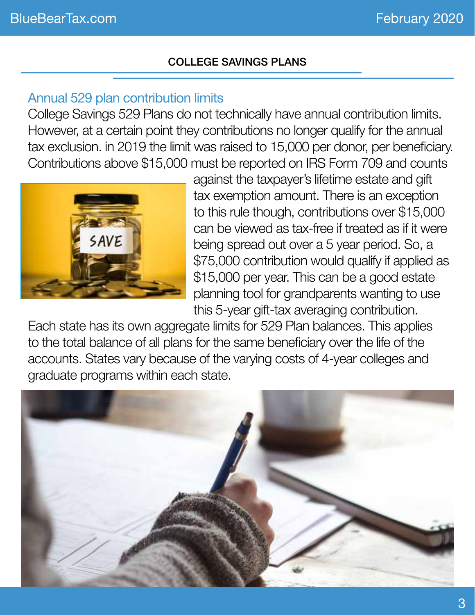#### College Savings Plans

# Annual 529 plan contribution limits

College Savings 529 Plans do not technically have annual contribution limits. However, at a certain point they contributions no longer qualify for the annual tax exclusion. in 2019 the limit was raised to 15,000 per donor, per beneficiary. Contributions above \$15,000 must be reported on IRS Form 709 and counts



against the taxpayer's lifetime estate and gift tax exemption amount. There is an exception to this rule though, contributions over \$15,000 can be viewed as tax-free if treated as if it were being spread out over a 5 year period. So, a \$75,000 contribution would qualify if applied as \$15,000 per year. This can be a good estate planning tool for grandparents wanting to use this 5-year gift-tax averaging contribution.

Each state has its own aggregate limits for 529 Plan balances. This applies to the total balance of all plans for the same beneficiary over the life of the accounts. States vary because of the varying costs of 4-year colleges and graduate programs within each state.